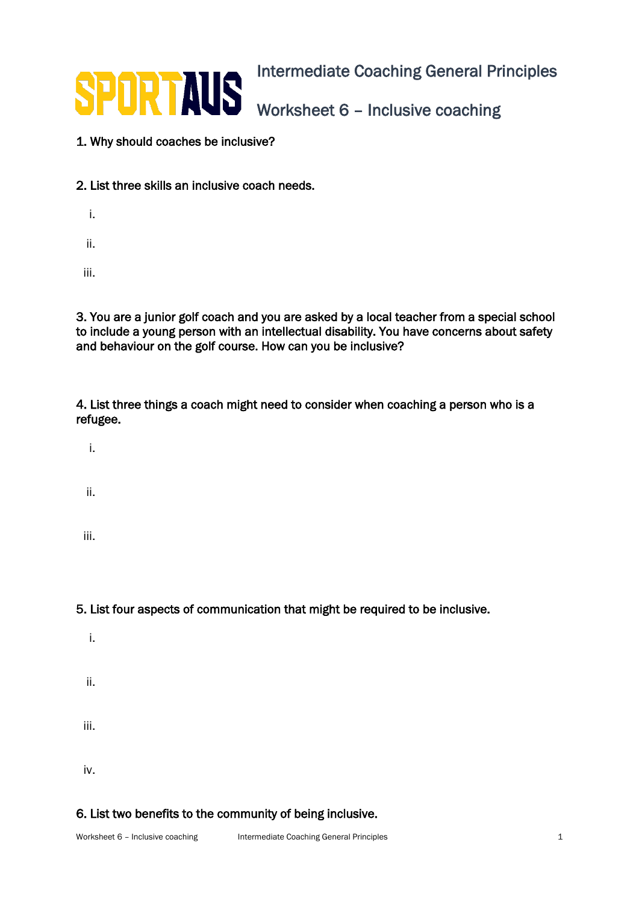

## 1. Why should coaches be inclusive?

- 2. List three skills an inclusive coach needs.
	- i. ii.

iii.

3. You are a junior golf coach and you are asked by a local teacher from a special school to include a young person with an intellectual disability. You have concerns about safety and behaviour on the golf course. How can you be inclusive?

4. List three things a coach might need to consider when coaching a person who is a refugee.

i.

ii.

iii.

5. List four aspects of communication that might be required to be inclusive.

i. ii. iii. iv.

6. List two benefits to the community of being inclusive.